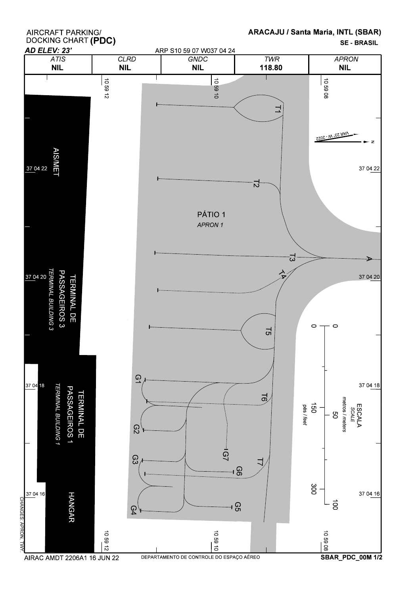AIRCRAFT PARKING/<br>DOCKING CHART **(PDC)** 

## ARACAJU / Santa Maria, INTL (SBAR)

SE - BRASIL